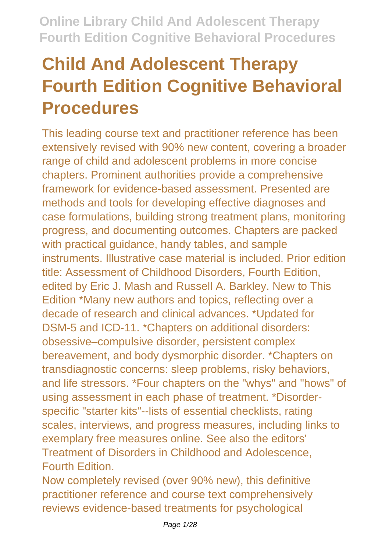# **Child And Adolescent Therapy Fourth Edition Cognitive Behavioral Procedures**

This leading course text and practitioner reference has been extensively revised with 90% new content, covering a broader range of child and adolescent problems in more concise chapters. Prominent authorities provide a comprehensive framework for evidence-based assessment. Presented are methods and tools for developing effective diagnoses and case formulations, building strong treatment plans, monitoring progress, and documenting outcomes. Chapters are packed with practical guidance, handy tables, and sample instruments. Illustrative case material is included. Prior edition title: Assessment of Childhood Disorders, Fourth Edition, edited by Eric J. Mash and Russell A. Barkley. New to This Edition \*Many new authors and topics, reflecting over a decade of research and clinical advances. \*Updated for DSM-5 and ICD-11. \*Chapters on additional disorders: obsessive–compulsive disorder, persistent complex bereavement, and body dysmorphic disorder. \*Chapters on transdiagnostic concerns: sleep problems, risky behaviors, and life stressors. \*Four chapters on the "whys" and "hows" of using assessment in each phase of treatment. \*Disorderspecific "starter kits"--lists of essential checklists, rating scales, interviews, and progress measures, including links to exemplary free measures online. See also the editors' Treatment of Disorders in Childhood and Adolescence, Fourth Edition.

Now completely revised (over 90% new), this definitive practitioner reference and course text comprehensively reviews evidence-based treatments for psychological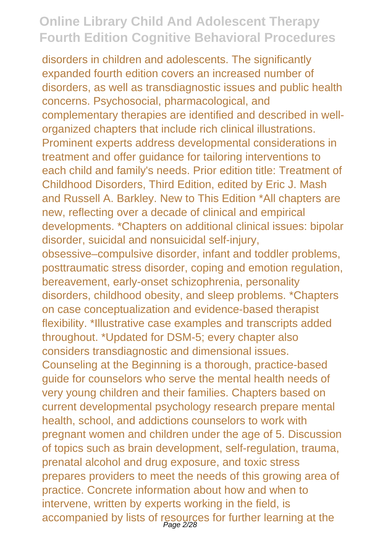disorders in children and adolescents. The significantly expanded fourth edition covers an increased number of disorders, as well as transdiagnostic issues and public health concerns. Psychosocial, pharmacological, and complementary therapies are identified and described in wellorganized chapters that include rich clinical illustrations. Prominent experts address developmental considerations in treatment and offer guidance for tailoring interventions to each child and family's needs. Prior edition title: Treatment of Childhood Disorders, Third Edition, edited by Eric J. Mash and Russell A. Barkley. New to This Edition \*All chapters are new, reflecting over a decade of clinical and empirical developments. \*Chapters on additional clinical issues: bipolar disorder, suicidal and nonsuicidal self-injury, obsessive–compulsive disorder, infant and toddler problems, posttraumatic stress disorder, coping and emotion regulation, bereavement, early-onset schizophrenia, personality disorders, childhood obesity, and sleep problems. \*Chapters on case conceptualization and evidence-based therapist flexibility. \*Illustrative case examples and transcripts added throughout. \*Updated for DSM-5; every chapter also considers transdiagnostic and dimensional issues. Counseling at the Beginning is a thorough, practice-based guide for counselors who serve the mental health needs of very young children and their families. Chapters based on current developmental psychology research prepare mental health, school, and addictions counselors to work with pregnant women and children under the age of 5. Discussion of topics such as brain development, self-regulation, trauma, prenatal alcohol and drug exposure, and toxic stress prepares providers to meet the needs of this growing area of practice. Concrete information about how and when to intervene, written by experts working in the field, is accompanied by lists of resources for further learning at the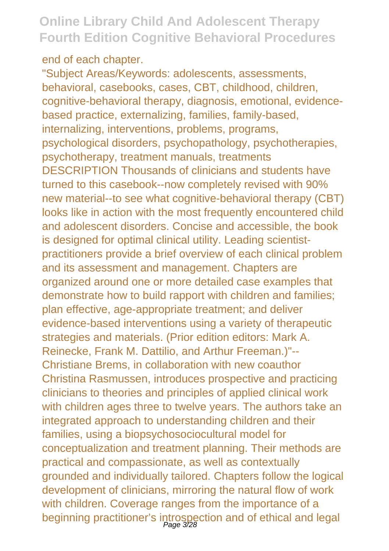end of each chapter.

"Subject Areas/Keywords: adolescents, assessments, behavioral, casebooks, cases, CBT, childhood, children, cognitive-behavioral therapy, diagnosis, emotional, evidencebased practice, externalizing, families, family-based, internalizing, interventions, problems, programs, psychological disorders, psychopathology, psychotherapies, psychotherapy, treatment manuals, treatments DESCRIPTION Thousands of clinicians and students have turned to this casebook--now completely revised with 90% new material--to see what cognitive-behavioral therapy (CBT) looks like in action with the most frequently encountered child and adolescent disorders. Concise and accessible, the book is designed for optimal clinical utility. Leading scientistpractitioners provide a brief overview of each clinical problem and its assessment and management. Chapters are organized around one or more detailed case examples that demonstrate how to build rapport with children and families; plan effective, age-appropriate treatment; and deliver evidence-based interventions using a variety of therapeutic strategies and materials. (Prior edition editors: Mark A. Reinecke, Frank M. Dattilio, and Arthur Freeman.)"-- Christiane Brems, in collaboration with new coauthor Christina Rasmussen, introduces prospective and practicing clinicians to theories and principles of applied clinical work with children ages three to twelve years. The authors take an integrated approach to understanding children and their families, using a biopsychosociocultural model for conceptualization and treatment planning. Their methods are practical and compassionate, as well as contextually grounded and individually tailored. Chapters follow the logical development of clinicians, mirroring the natural flow of work with children. Coverage ranges from the importance of a beginning practitioner's introspection and of ethical and legal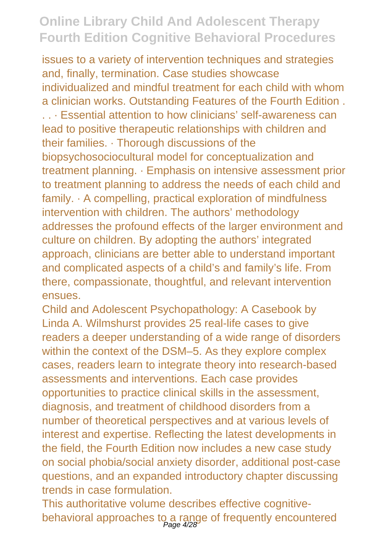issues to a variety of intervention techniques and strategies and, finally, termination. Case studies showcase individualized and mindful treatment for each child with whom a clinician works. Outstanding Features of the Fourth Edition . . . · Essential attention to how clinicians' self-awareness can lead to positive therapeutic relationships with children and their families. · Thorough discussions of the biopsychosociocultural model for conceptualization and treatment planning. · Emphasis on intensive assessment prior to treatment planning to address the needs of each child and family. · A compelling, practical exploration of mindfulness intervention with children. The authors' methodology addresses the profound effects of the larger environment and culture on children. By adopting the authors' integrated approach, clinicians are better able to understand important and complicated aspects of a child's and family's life. From there, compassionate, thoughtful, and relevant intervention ensues.

Child and Adolescent Psychopathology: A Casebook by Linda A. Wilmshurst provides 25 real-life cases to give readers a deeper understanding of a wide range of disorders within the context of the DSM–5. As they explore complex cases, readers learn to integrate theory into research-based assessments and interventions. Each case provides opportunities to practice clinical skills in the assessment, diagnosis, and treatment of childhood disorders from a number of theoretical perspectives and at various levels of interest and expertise. Reflecting the latest developments in the field, the Fourth Edition now includes a new case study on social phobia/social anxiety disorder, additional post-case questions, and an expanded introductory chapter discussing trends in case formulation.

This authoritative volume describes effective cognitivebehavioral approaches to a range of frequently encountered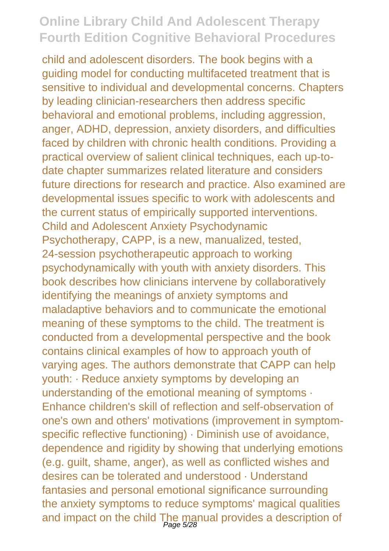child and adolescent disorders. The book begins with a guiding model for conducting multifaceted treatment that is sensitive to individual and developmental concerns. Chapters by leading clinician-researchers then address specific behavioral and emotional problems, including aggression, anger, ADHD, depression, anxiety disorders, and difficulties faced by children with chronic health conditions. Providing a practical overview of salient clinical techniques, each up-todate chapter summarizes related literature and considers future directions for research and practice. Also examined are developmental issues specific to work with adolescents and the current status of empirically supported interventions. Child and Adolescent Anxiety Psychodynamic Psychotherapy, CAPP, is a new, manualized, tested, 24-session psychotherapeutic approach to working psychodynamically with youth with anxiety disorders. This book describes how clinicians intervene by collaboratively identifying the meanings of anxiety symptoms and maladaptive behaviors and to communicate the emotional meaning of these symptoms to the child. The treatment is conducted from a developmental perspective and the book contains clinical examples of how to approach youth of varying ages. The authors demonstrate that CAPP can help youth: · Reduce anxiety symptoms by developing an understanding of the emotional meaning of symptoms · Enhance children's skill of reflection and self-observation of one's own and others' motivations (improvement in symptomspecific reflective functioning) · Diminish use of avoidance, dependence and rigidity by showing that underlying emotions (e.g. guilt, shame, anger), as well as conflicted wishes and desires can be tolerated and understood · Understand fantasies and personal emotional significance surrounding the anxiety symptoms to reduce symptoms' magical qualities and impact on the child The manual provides a description of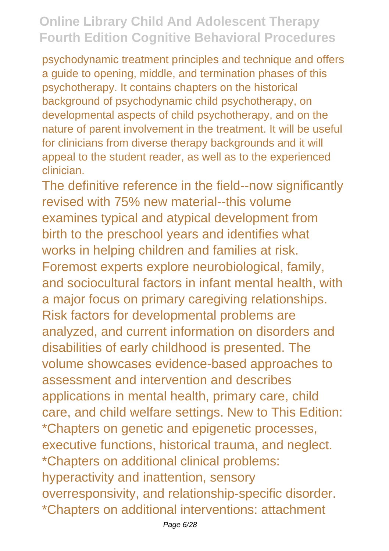psychodynamic treatment principles and technique and offers a guide to opening, middle, and termination phases of this psychotherapy. It contains chapters on the historical background of psychodynamic child psychotherapy, on developmental aspects of child psychotherapy, and on the nature of parent involvement in the treatment. It will be useful for clinicians from diverse therapy backgrounds and it will appeal to the student reader, as well as to the experienced clinician.

The definitive reference in the field--now significantly revised with 75% new material--this volume examines typical and atypical development from birth to the preschool years and identifies what works in helping children and families at risk. Foremost experts explore neurobiological, family, and sociocultural factors in infant mental health, with a major focus on primary caregiving relationships. Risk factors for developmental problems are analyzed, and current information on disorders and disabilities of early childhood is presented. The volume showcases evidence-based approaches to assessment and intervention and describes applications in mental health, primary care, child care, and child welfare settings. New to This Edition: \*Chapters on genetic and epigenetic processes, executive functions, historical trauma, and neglect. \*Chapters on additional clinical problems: hyperactivity and inattention, sensory overresponsivity, and relationship-specific disorder. \*Chapters on additional interventions: attachment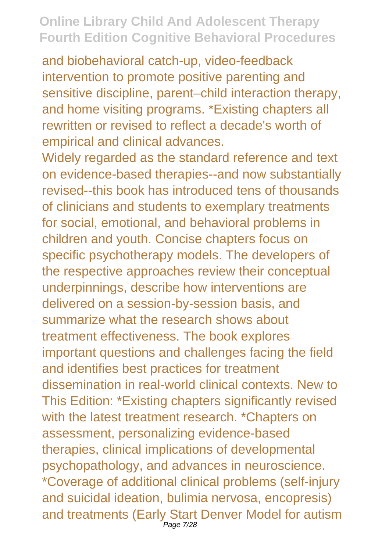and biobehavioral catch-up, video-feedback intervention to promote positive parenting and sensitive discipline, parent–child interaction therapy, and home visiting programs. \*Existing chapters all rewritten or revised to reflect a decade's worth of empirical and clinical advances.

Widely regarded as the standard reference and text on evidence-based therapies--and now substantially revised--this book has introduced tens of thousands of clinicians and students to exemplary treatments for social, emotional, and behavioral problems in children and youth. Concise chapters focus on specific psychotherapy models. The developers of the respective approaches review their conceptual underpinnings, describe how interventions are delivered on a session-by-session basis, and summarize what the research shows about treatment effectiveness. The book explores important questions and challenges facing the field and identifies best practices for treatment dissemination in real-world clinical contexts. New to This Edition: \*Existing chapters significantly revised with the latest treatment research. \*Chapters on assessment, personalizing evidence-based therapies, clinical implications of developmental psychopathology, and advances in neuroscience. \*Coverage of additional clinical problems (self-injury and suicidal ideation, bulimia nervosa, encopresis) and treatments (Early Start Denver Model for autism Page 7/28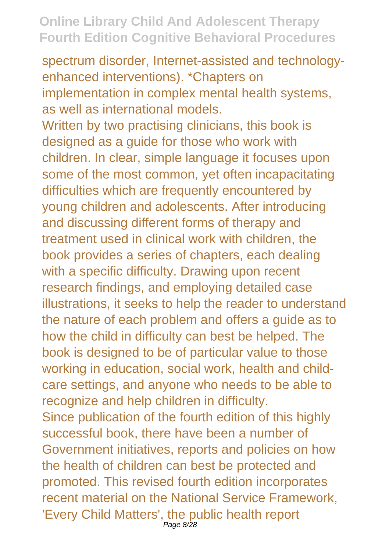spectrum disorder, Internet-assisted and technologyenhanced interventions). \*Chapters on implementation in complex mental health systems, as well as international models.

Written by two practising clinicians, this book is designed as a guide for those who work with children. In clear, simple language it focuses upon some of the most common, yet often incapacitating difficulties which are frequently encountered by young children and adolescents. After introducing and discussing different forms of therapy and treatment used in clinical work with children, the book provides a series of chapters, each dealing with a specific difficulty. Drawing upon recent research findings, and employing detailed case illustrations, it seeks to help the reader to understand the nature of each problem and offers a guide as to how the child in difficulty can best be helped. The book is designed to be of particular value to those working in education, social work, health and childcare settings, and anyone who needs to be able to recognize and help children in difficulty. Since publication of the fourth edition of this highly successful book, there have been a number of Government initiatives, reports and policies on how the health of children can best be protected and promoted. This revised fourth edition incorporates recent material on the National Service Framework, 'Every Child Matters', the public health report Page 8/28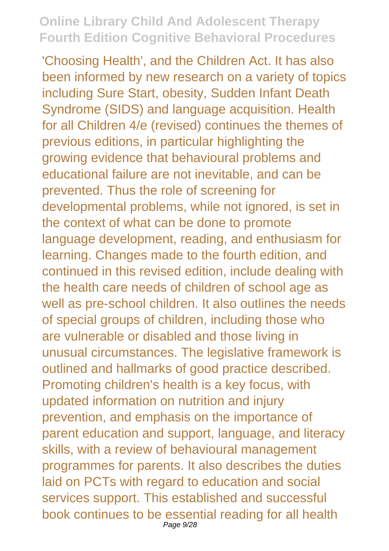'Choosing Health', and the Children Act. It has also been informed by new research on a variety of topics including Sure Start, obesity, Sudden Infant Death Syndrome (SIDS) and language acquisition. Health for all Children 4/e (revised) continues the themes of previous editions, in particular highlighting the growing evidence that behavioural problems and educational failure are not inevitable, and can be prevented. Thus the role of screening for developmental problems, while not ignored, is set in the context of what can be done to promote language development, reading, and enthusiasm for learning. Changes made to the fourth edition, and continued in this revised edition, include dealing with the health care needs of children of school age as well as pre-school children. It also outlines the needs of special groups of children, including those who are vulnerable or disabled and those living in unusual circumstances. The legislative framework is outlined and hallmarks of good practice described. Promoting children's health is a key focus, with updated information on nutrition and injury prevention, and emphasis on the importance of parent education and support, language, and literacy skills, with a review of behavioural management programmes for parents. It also describes the duties laid on PCTs with regard to education and social services support. This established and successful book continues to be essential reading for all health Page 9/28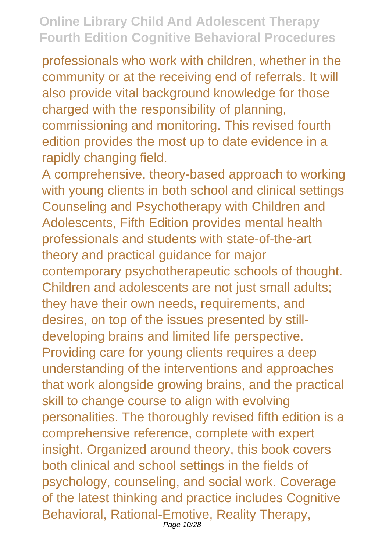professionals who work with children, whether in the community or at the receiving end of referrals. It will also provide vital background knowledge for those charged with the responsibility of planning, commissioning and monitoring. This revised fourth edition provides the most up to date evidence in a

rapidly changing field. A comprehensive, theory-based approach to working with young clients in both school and clinical settings Counseling and Psychotherapy with Children and Adolescents, Fifth Edition provides mental health professionals and students with state-of-the-art theory and practical guidance for major contemporary psychotherapeutic schools of thought. Children and adolescents are not just small adults; they have their own needs, requirements, and desires, on top of the issues presented by stilldeveloping brains and limited life perspective. Providing care for young clients requires a deep understanding of the interventions and approaches that work alongside growing brains, and the practical skill to change course to align with evolving personalities. The thoroughly revised fifth edition is a comprehensive reference, complete with expert insight. Organized around theory, this book covers both clinical and school settings in the fields of psychology, counseling, and social work. Coverage of the latest thinking and practice includes Cognitive Behavioral, Rational-Emotive, Reality Therapy, Page 10/28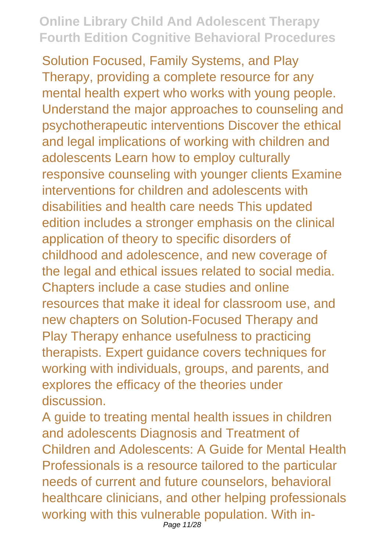Solution Focused, Family Systems, and Play Therapy, providing a complete resource for any mental health expert who works with young people. Understand the major approaches to counseling and psychotherapeutic interventions Discover the ethical and legal implications of working with children and adolescents Learn how to employ culturally responsive counseling with younger clients Examine interventions for children and adolescents with disabilities and health care needs This updated edition includes a stronger emphasis on the clinical application of theory to specific disorders of childhood and adolescence, and new coverage of the legal and ethical issues related to social media. Chapters include a case studies and online resources that make it ideal for classroom use, and new chapters on Solution-Focused Therapy and Play Therapy enhance usefulness to practicing therapists. Expert guidance covers techniques for working with individuals, groups, and parents, and explores the efficacy of the theories under discussion.

A guide to treating mental health issues in children and adolescents Diagnosis and Treatment of Children and Adolescents: A Guide for Mental Health Professionals is a resource tailored to the particular needs of current and future counselors, behavioral healthcare clinicians, and other helping professionals working with this vulnerable population. With in-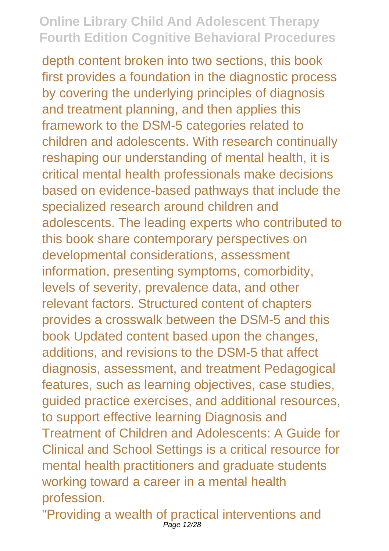depth content broken into two sections, this book first provides a foundation in the diagnostic process by covering the underlying principles of diagnosis and treatment planning, and then applies this framework to the DSM-5 categories related to children and adolescents. With research continually reshaping our understanding of mental health, it is critical mental health professionals make decisions based on evidence-based pathways that include the specialized research around children and adolescents. The leading experts who contributed to this book share contemporary perspectives on developmental considerations, assessment information, presenting symptoms, comorbidity, levels of severity, prevalence data, and other relevant factors. Structured content of chapters provides a crosswalk between the DSM-5 and this book Updated content based upon the changes, additions, and revisions to the DSM-5 that affect diagnosis, assessment, and treatment Pedagogical features, such as learning objectives, case studies, guided practice exercises, and additional resources, to support effective learning Diagnosis and Treatment of Children and Adolescents: A Guide for Clinical and School Settings is a critical resource for mental health practitioners and graduate students working toward a career in a mental health profession.

"Providing a wealth of practical interventions and Page 12/28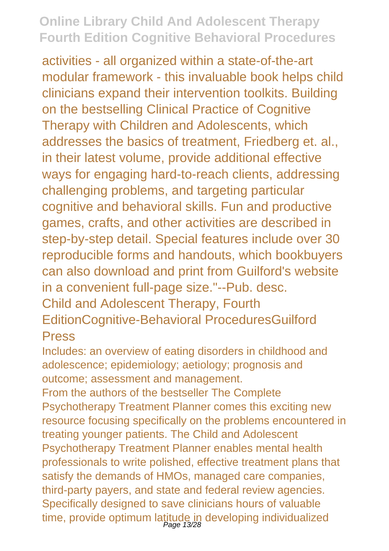activities - all organized within a state-of-the-art modular framework - this invaluable book helps child clinicians expand their intervention toolkits. Building on the bestselling Clinical Practice of Cognitive Therapy with Children and Adolescents, which addresses the basics of treatment, Friedberg et. al., in their latest volume, provide additional effective ways for engaging hard-to-reach clients, addressing challenging problems, and targeting particular cognitive and behavioral skills. Fun and productive games, crafts, and other activities are described in step-by-step detail. Special features include over 30 reproducible forms and handouts, which bookbuyers can also download and print from Guilford's website in a convenient full-page size."--Pub. desc. Child and Adolescent Therapy, Fourth EditionCognitive-Behavioral ProceduresGuilford

#### Press

Includes: an overview of eating disorders in childhood and adolescence; epidemiology; aetiology; prognosis and outcome; assessment and management.

From the authors of the bestseller The Complete Psychotherapy Treatment Planner comes this exciting new resource focusing specifically on the problems encountered in treating younger patients. The Child and Adolescent Psychotherapy Treatment Planner enables mental health professionals to write polished, effective treatment plans that satisfy the demands of HMOs, managed care companies, third-party payers, and state and federal review agencies. Specifically designed to save clinicians hours of valuable time, provide optimum latitude in developing individualized<br>Page 13/28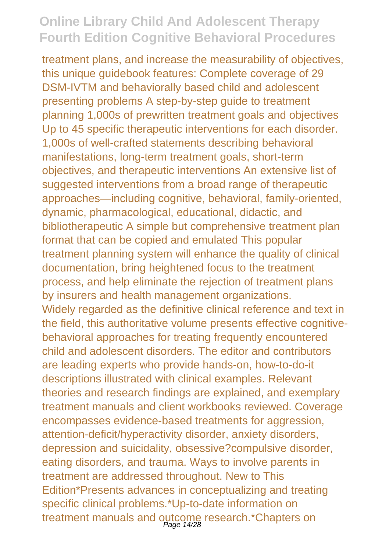treatment plans, and increase the measurability of objectives, this unique guidebook features: Complete coverage of 29 DSM-IVTM and behaviorally based child and adolescent presenting problems A step-by-step guide to treatment planning 1,000s of prewritten treatment goals and objectives Up to 45 specific therapeutic interventions for each disorder. 1,000s of well-crafted statements describing behavioral manifestations, long-term treatment goals, short-term objectives, and therapeutic interventions An extensive list of suggested interventions from a broad range of therapeutic approaches—including cognitive, behavioral, family-oriented, dynamic, pharmacological, educational, didactic, and bibliotherapeutic A simple but comprehensive treatment plan format that can be copied and emulated This popular treatment planning system will enhance the quality of clinical documentation, bring heightened focus to the treatment process, and help eliminate the rejection of treatment plans by insurers and health management organizations. Widely regarded as the definitive clinical reference and text in the field, this authoritative volume presents effective cognitivebehavioral approaches for treating frequently encountered child and adolescent disorders. The editor and contributors are leading experts who provide hands-on, how-to-do-it descriptions illustrated with clinical examples. Relevant theories and research findings are explained, and exemplary treatment manuals and client workbooks reviewed. Coverage encompasses evidence-based treatments for aggression, attention-deficit/hyperactivity disorder, anxiety disorders, depression and suicidality, obsessive?compulsive disorder, eating disorders, and trauma. Ways to involve parents in treatment are addressed throughout. New to This Edition\*Presents advances in conceptualizing and treating specific clinical problems.\*Up-to-date information on treatment manuals and outcome research.\*Chapters on<br>Page 14/28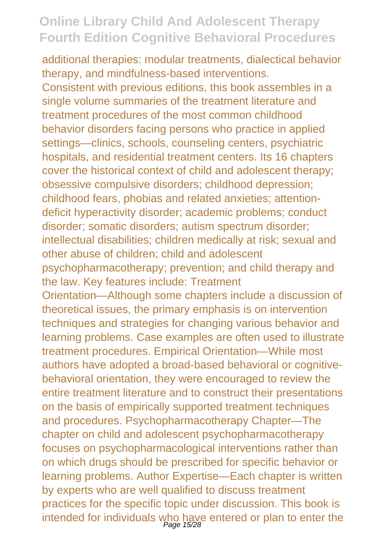additional therapies: modular treatments, dialectical behavior therapy, and mindfulness-based interventions. Consistent with previous editions, this book assembles in a single volume summaries of the treatment literature and treatment procedures of the most common childhood behavior disorders facing persons who practice in applied settings—clinics, schools, counseling centers, psychiatric hospitals, and residential treatment centers. Its 16 chapters cover the historical context of child and adolescent therapy; obsessive compulsive disorders; childhood depression; childhood fears, phobias and related anxieties; attentiondeficit hyperactivity disorder; academic problems; conduct disorder; somatic disorders; autism spectrum disorder; intellectual disabilities; children medically at risk; sexual and other abuse of children; child and adolescent psychopharmacotherapy; prevention; and child therapy and the law. Key features include: Treatment Orientation—Although some chapters include a discussion of theoretical issues, the primary emphasis is on intervention techniques and strategies for changing various behavior and learning problems. Case examples are often used to illustrate treatment procedures. Empirical Orientation—While most authors have adopted a broad-based behavioral or cognitivebehavioral orientation, they were encouraged to review the entire treatment literature and to construct their presentations on the basis of empirically supported treatment techniques and procedures. Psychopharmacotherapy Chapter—The chapter on child and adolescent psychopharmacotherapy focuses on psychopharmacological interventions rather than on which drugs should be prescribed for specific behavior or learning problems. Author Expertise—Each chapter is written by experts who are well qualified to discuss treatment practices for the specific topic under discussion. This book is intended for individuals who have entered or plan to enter the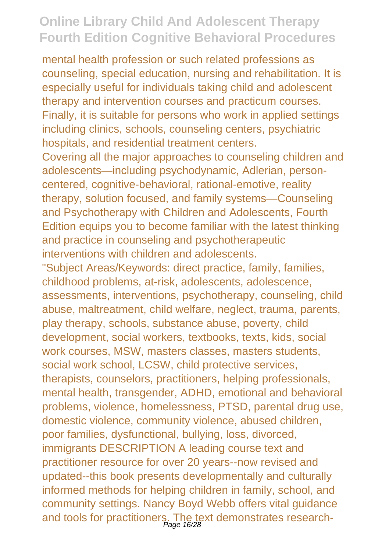mental health profession or such related professions as counseling, special education, nursing and rehabilitation. It is especially useful for individuals taking child and adolescent therapy and intervention courses and practicum courses. Finally, it is suitable for persons who work in applied settings including clinics, schools, counseling centers, psychiatric hospitals, and residential treatment centers.

Covering all the major approaches to counseling children and adolescents—including psychodynamic, Adlerian, personcentered, cognitive-behavioral, rational-emotive, reality therapy, solution focused, and family systems—Counseling and Psychotherapy with Children and Adolescents, Fourth Edition equips you to become familiar with the latest thinking and practice in counseling and psychotherapeutic interventions with children and adolescents.

"Subject Areas/Keywords: direct practice, family, families, childhood problems, at-risk, adolescents, adolescence, assessments, interventions, psychotherapy, counseling, child abuse, maltreatment, child welfare, neglect, trauma, parents, play therapy, schools, substance abuse, poverty, child development, social workers, textbooks, texts, kids, social work courses, MSW, masters classes, masters students, social work school, LCSW, child protective services, therapists, counselors, practitioners, helping professionals, mental health, transgender, ADHD, emotional and behavioral problems, violence, homelessness, PTSD, parental drug use, domestic violence, community violence, abused children, poor families, dysfunctional, bullying, loss, divorced, immigrants DESCRIPTION A leading course text and practitioner resource for over 20 years--now revised and updated--this book presents developmentally and culturally informed methods for helping children in family, school, and community settings. Nancy Boyd Webb offers vital guidance and tools for practitioners. The text demonstrates research-<br>Page 16/28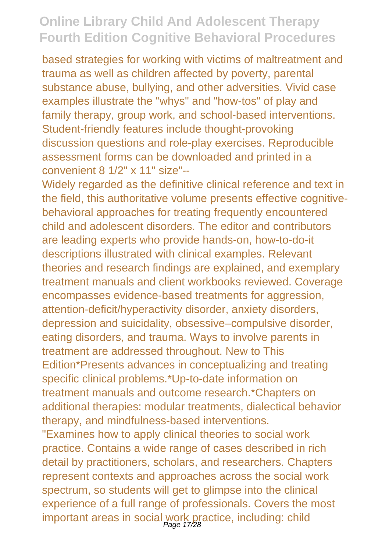based strategies for working with victims of maltreatment and trauma as well as children affected by poverty, parental substance abuse, bullying, and other adversities. Vivid case examples illustrate the "whys" and "how-tos" of play and family therapy, group work, and school-based interventions. Student-friendly features include thought-provoking discussion questions and role-play exercises. Reproducible assessment forms can be downloaded and printed in a convenient 8 1/2" x 11" size"--

Widely regarded as the definitive clinical reference and text in the field, this authoritative volume presents effective cognitivebehavioral approaches for treating frequently encountered child and adolescent disorders. The editor and contributors are leading experts who provide hands-on, how-to-do-it descriptions illustrated with clinical examples. Relevant theories and research findings are explained, and exemplary treatment manuals and client workbooks reviewed. Coverage encompasses evidence-based treatments for aggression, attention-deficit/hyperactivity disorder, anxiety disorders, depression and suicidality, obsessive–compulsive disorder, eating disorders, and trauma. Ways to involve parents in treatment are addressed throughout. New to This Edition\*Presents advances in conceptualizing and treating specific clinical problems.\*Up-to-date information on treatment manuals and outcome research.\*Chapters on additional therapies: modular treatments, dialectical behavior therapy, and mindfulness-based interventions. "Examines how to apply clinical theories to social work practice. Contains a wide range of cases described in rich detail by practitioners, scholars, and researchers. Chapters represent contexts and approaches across the social work spectrum, so students will get to glimpse into the clinical experience of a full range of professionals. Covers the most important areas in social work practice, including: child Page 17/28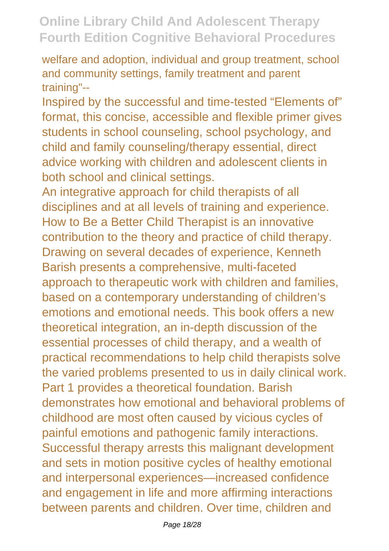welfare and adoption, individual and group treatment, school and community settings, family treatment and parent training"--

Inspired by the successful and time-tested "Elements of" format, this concise, accessible and flexible primer gives students in school counseling, school psychology, and child and family counseling/therapy essential, direct advice working with children and adolescent clients in both school and clinical settings.

An integrative approach for child therapists of all disciplines and at all levels of training and experience. How to Be a Better Child Therapist is an innovative contribution to the theory and practice of child therapy. Drawing on several decades of experience, Kenneth Barish presents a comprehensive, multi-faceted approach to therapeutic work with children and families, based on a contemporary understanding of children's emotions and emotional needs. This book offers a new theoretical integration, an in-depth discussion of the essential processes of child therapy, and a wealth of practical recommendations to help child therapists solve the varied problems presented to us in daily clinical work. Part 1 provides a theoretical foundation. Barish demonstrates how emotional and behavioral problems of childhood are most often caused by vicious cycles of painful emotions and pathogenic family interactions. Successful therapy arrests this malignant development and sets in motion positive cycles of healthy emotional and interpersonal experiences—increased confidence and engagement in life and more affirming interactions between parents and children. Over time, children and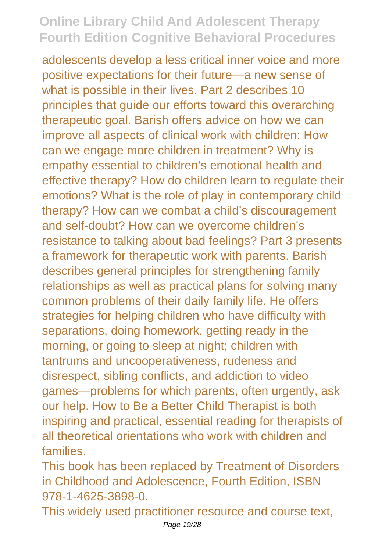adolescents develop a less critical inner voice and more positive expectations for their future—a new sense of what is possible in their lives. Part 2 describes 10 principles that guide our efforts toward this overarching therapeutic goal. Barish offers advice on how we can improve all aspects of clinical work with children: How can we engage more children in treatment? Why is empathy essential to children's emotional health and effective therapy? How do children learn to regulate their emotions? What is the role of play in contemporary child therapy? How can we combat a child's discouragement and self-doubt? How can we overcome children's resistance to talking about bad feelings? Part 3 presents a framework for therapeutic work with parents. Barish describes general principles for strengthening family relationships as well as practical plans for solving many common problems of their daily family life. He offers strategies for helping children who have difficulty with separations, doing homework, getting ready in the morning, or going to sleep at night; children with tantrums and uncooperativeness, rudeness and disrespect, sibling conflicts, and addiction to video games—problems for which parents, often urgently, ask our help. How to Be a Better Child Therapist is both inspiring and practical, essential reading for therapists of all theoretical orientations who work with children and families.

This book has been replaced by Treatment of Disorders in Childhood and Adolescence, Fourth Edition, ISBN 978-1-4625-3898-0.

This widely used practitioner resource and course text,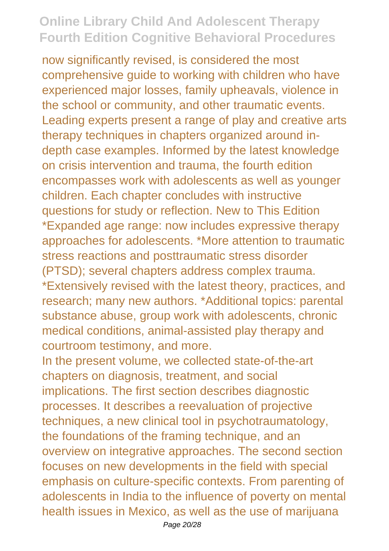now significantly revised, is considered the most comprehensive guide to working with children who have experienced major losses, family upheavals, violence in the school or community, and other traumatic events. Leading experts present a range of play and creative arts therapy techniques in chapters organized around indepth case examples. Informed by the latest knowledge on crisis intervention and trauma, the fourth edition encompasses work with adolescents as well as younger children. Each chapter concludes with instructive questions for study or reflection. New to This Edition \*Expanded age range: now includes expressive therapy approaches for adolescents. \*More attention to traumatic stress reactions and posttraumatic stress disorder (PTSD); several chapters address complex trauma. \*Extensively revised with the latest theory, practices, and research; many new authors. \*Additional topics: parental substance abuse, group work with adolescents, chronic medical conditions, animal-assisted play therapy and courtroom testimony, and more.

In the present volume, we collected state-of-the-art chapters on diagnosis, treatment, and social implications. The first section describes diagnostic processes. It describes a reevaluation of projective techniques, a new clinical tool in psychotraumatology, the foundations of the framing technique, and an overview on integrative approaches. The second section focuses on new developments in the field with special emphasis on culture-specific contexts. From parenting of adolescents in India to the influence of poverty on mental health issues in Mexico, as well as the use of marijuana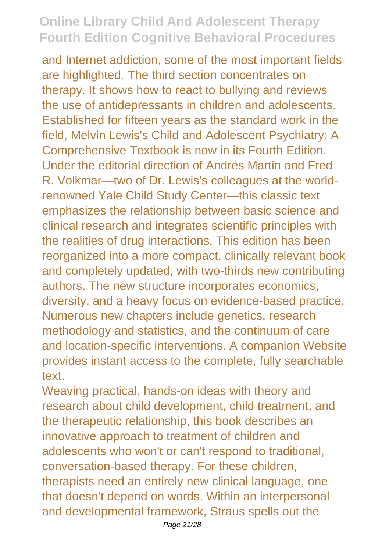and Internet addiction, some of the most important fields are highlighted. The third section concentrates on therapy. It shows how to react to bullying and reviews the use of antidepressants in children and adolescents. Established for fifteen years as the standard work in the field, Melvin Lewis's Child and Adolescent Psychiatry: A Comprehensive Textbook is now in its Fourth Edition. Under the editorial direction of Andrés Martin and Fred R. Volkmar—two of Dr. Lewis's colleagues at the worldrenowned Yale Child Study Center—this classic text emphasizes the relationship between basic science and clinical research and integrates scientific principles with the realities of drug interactions. This edition has been reorganized into a more compact, clinically relevant book and completely updated, with two-thirds new contributing authors. The new structure incorporates economics, diversity, and a heavy focus on evidence-based practice. Numerous new chapters include genetics, research methodology and statistics, and the continuum of care and location-specific interventions. A companion Website provides instant access to the complete, fully searchable text.

Weaving practical, hands-on ideas with theory and research about child development, child treatment, and the therapeutic relationship, this book describes an innovative approach to treatment of children and adolescents who won't or can't respond to traditional, conversation-based therapy. For these children, therapists need an entirely new clinical language, one that doesn't depend on words. Within an interpersonal and developmental framework, Straus spells out the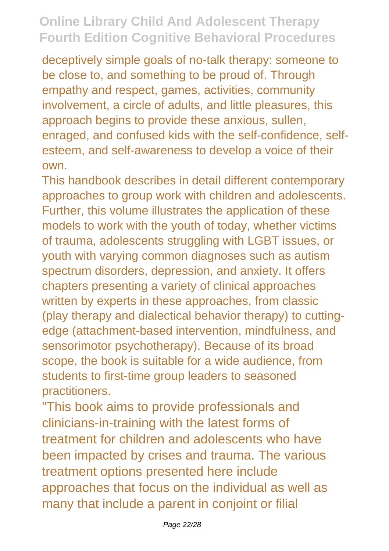deceptively simple goals of no-talk therapy: someone to be close to, and something to be proud of. Through empathy and respect, games, activities, community involvement, a circle of adults, and little pleasures, this approach begins to provide these anxious, sullen, enraged, and confused kids with the self-confidence, selfesteem, and self-awareness to develop a voice of their own.

This handbook describes in detail different contemporary approaches to group work with children and adolescents. Further, this volume illustrates the application of these models to work with the youth of today, whether victims of trauma, adolescents struggling with LGBT issues, or youth with varying common diagnoses such as autism spectrum disorders, depression, and anxiety. It offers chapters presenting a variety of clinical approaches written by experts in these approaches, from classic (play therapy and dialectical behavior therapy) to cuttingedge (attachment-based intervention, mindfulness, and sensorimotor psychotherapy). Because of its broad scope, the book is suitable for a wide audience, from students to first-time group leaders to seasoned practitioners.

"This book aims to provide professionals and clinicians-in-training with the latest forms of treatment for children and adolescents who have been impacted by crises and trauma. The various treatment options presented here include approaches that focus on the individual as well as many that include a parent in conjoint or filial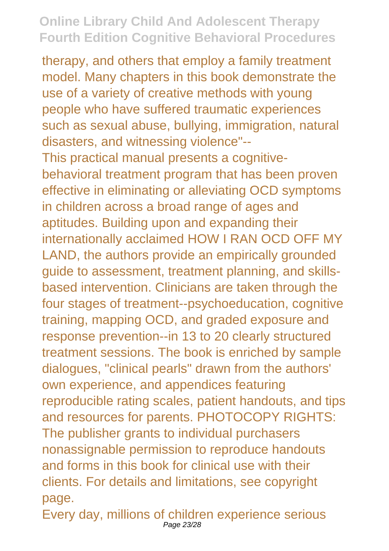therapy, and others that employ a family treatment model. Many chapters in this book demonstrate the use of a variety of creative methods with young people who have suffered traumatic experiences such as sexual abuse, bullying, immigration, natural disasters, and witnessing violence"-- This practical manual presents a cognitivebehavioral treatment program that has been proven effective in eliminating or alleviating OCD symptoms in children across a broad range of ages and aptitudes. Building upon and expanding their internationally acclaimed HOW I RAN OCD OFF MY LAND, the authors provide an empirically grounded guide to assessment, treatment planning, and skillsbased intervention. Clinicians are taken through the four stages of treatment--psychoeducation, cognitive training, mapping OCD, and graded exposure and response prevention--in 13 to 20 clearly structured treatment sessions. The book is enriched by sample dialogues, "clinical pearls" drawn from the authors' own experience, and appendices featuring reproducible rating scales, patient handouts, and tips and resources for parents. PHOTOCOPY RIGHTS: The publisher grants to individual purchasers nonassignable permission to reproduce handouts and forms in this book for clinical use with their clients. For details and limitations, see copyright page.

Every day, millions of children experience serious Page 23/28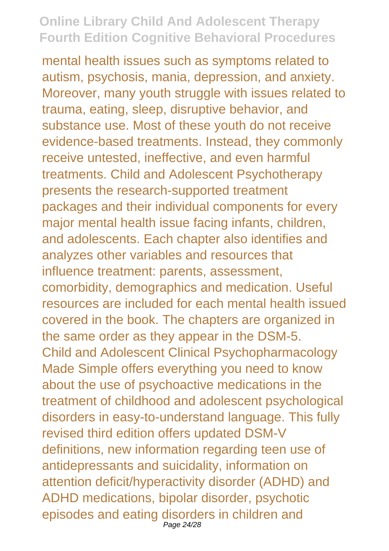mental health issues such as symptoms related to autism, psychosis, mania, depression, and anxiety. Moreover, many youth struggle with issues related to trauma, eating, sleep, disruptive behavior, and substance use. Most of these youth do not receive evidence-based treatments. Instead, they commonly receive untested, ineffective, and even harmful treatments. Child and Adolescent Psychotherapy presents the research-supported treatment packages and their individual components for every major mental health issue facing infants, children, and adolescents. Each chapter also identifies and analyzes other variables and resources that influence treatment: parents, assessment, comorbidity, demographics and medication. Useful resources are included for each mental health issued covered in the book. The chapters are organized in the same order as they appear in the DSM-5. Child and Adolescent Clinical Psychopharmacology Made Simple offers everything you need to know about the use of psychoactive medications in the treatment of childhood and adolescent psychological disorders in easy-to-understand language. This fully revised third edition offers updated DSM-V definitions, new information regarding teen use of antidepressants and suicidality, information on attention deficit/hyperactivity disorder (ADHD) and ADHD medications, bipolar disorder, psychotic episodes and eating disorders in children and Page 24/28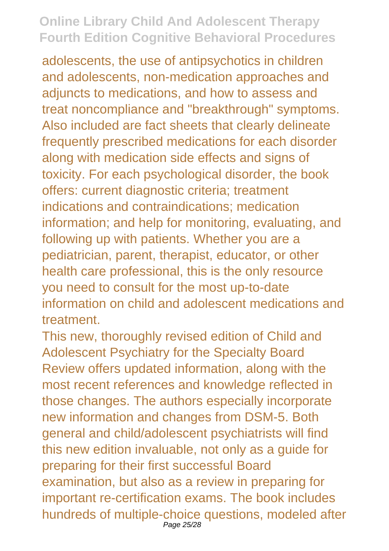adolescents, the use of antipsychotics in children and adolescents, non-medication approaches and adjuncts to medications, and how to assess and treat noncompliance and "breakthrough" symptoms. Also included are fact sheets that clearly delineate frequently prescribed medications for each disorder along with medication side effects and signs of toxicity. For each psychological disorder, the book offers: current diagnostic criteria; treatment indications and contraindications; medication information; and help for monitoring, evaluating, and following up with patients. Whether you are a pediatrician, parent, therapist, educator, or other health care professional, this is the only resource you need to consult for the most up-to-date information on child and adolescent medications and treatment.

This new, thoroughly revised edition of Child and Adolescent Psychiatry for the Specialty Board Review offers updated information, along with the most recent references and knowledge reflected in those changes. The authors especially incorporate new information and changes from DSM-5. Both general and child/adolescent psychiatrists will find this new edition invaluable, not only as a guide for preparing for their first successful Board examination, but also as a review in preparing for important re-certification exams. The book includes hundreds of multiple-choice questions, modeled after Page 25/28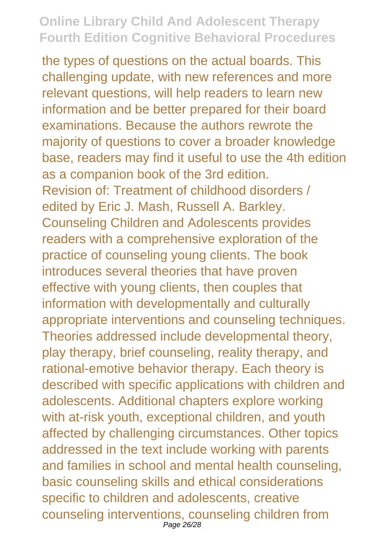the types of questions on the actual boards. This challenging update, with new references and more relevant questions, will help readers to learn new information and be better prepared for their board examinations. Because the authors rewrote the majority of questions to cover a broader knowledge base, readers may find it useful to use the 4th edition as a companion book of the 3rd edition. Revision of: Treatment of childhood disorders / edited by Eric J. Mash, Russell A. Barkley. Counseling Children and Adolescents provides readers with a comprehensive exploration of the practice of counseling young clients. The book introduces several theories that have proven effective with young clients, then couples that information with developmentally and culturally appropriate interventions and counseling techniques. Theories addressed include developmental theory, play therapy, brief counseling, reality therapy, and rational-emotive behavior therapy. Each theory is described with specific applications with children and adolescents. Additional chapters explore working with at-risk youth, exceptional children, and youth affected by challenging circumstances. Other topics addressed in the text include working with parents and families in school and mental health counseling, basic counseling skills and ethical considerations specific to children and adolescents, creative counseling interventions, counseling children from Page 26/28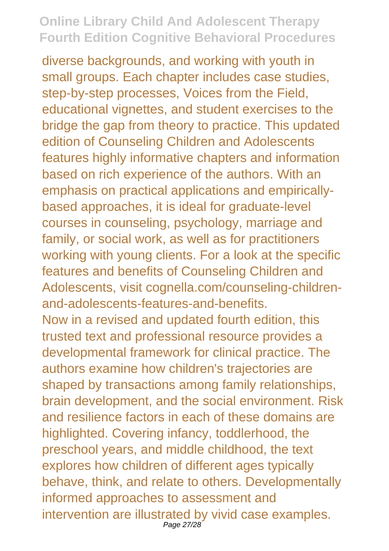diverse backgrounds, and working with youth in small groups. Each chapter includes case studies, step-by-step processes, Voices from the Field, educational vignettes, and student exercises to the bridge the gap from theory to practice. This updated edition of Counseling Children and Adolescents features highly informative chapters and information based on rich experience of the authors. With an emphasis on practical applications and empiricallybased approaches, it is ideal for graduate-level courses in counseling, psychology, marriage and family, or social work, as well as for practitioners working with young clients. For a look at the specific features and benefits of Counseling Children and Adolescents, visit cognella.com/counseling-childrenand-adolescents-features-and-benefits. Now in a revised and updated fourth edition, this trusted text and professional resource provides a developmental framework for clinical practice. The authors examine how children's trajectories are shaped by transactions among family relationships, brain development, and the social environment. Risk and resilience factors in each of these domains are highlighted. Covering infancy, toddlerhood, the preschool years, and middle childhood, the text explores how children of different ages typically behave, think, and relate to others. Developmentally informed approaches to assessment and intervention are illustrated by vivid case examples. Page 27/28